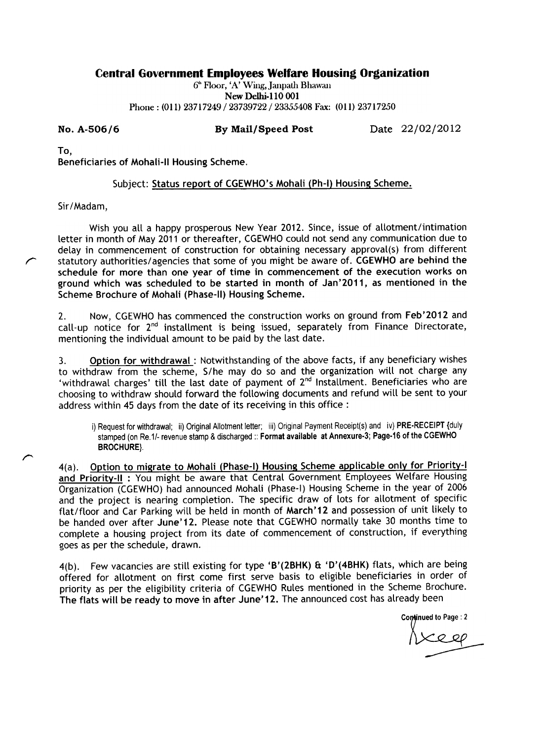## Central Government Employees Welfare Housing Organization

6<sup>th</sup> Floor, 'A' Wing, Janpath Bhawan New Delhi-110 001 Phone: (011) 23717249/23739722/23355408 Fax: (011) 23717250

No. A-506/6 By Mail/ Speed Post Date 22/02/2012

To,

r

 $\curvearrowright$ 

Beneficiaries of Mohali-11 Housing Scheme.

## Subject: Status report of CGEWHO's Mohali (Ph-I) Housing Scheme.

Sir/Madam,

Wish you all a happy prosperous New Year 2012. Since, issue of allotment/intimation letter in month of May 2011 or thereafter, CGEWHO could not send any communication due to delay in commencement of construction for obtaining necessary approval(s) from different statutory authorities/ agencies that some of you might be aware of. CGEWHO are behind the schedule for more than one year of time in commencement of the execution works on ground which was scheduled to be started in month of Jan'2011, as mentioned in the Scheme Brochure of Mohali (Phase-ll) Housing Scheme.

2. Now, CGEWHO has commenced the construction works on ground from Feb'2012 and call-up notice for  $2^{nd}$  installment is being issued, separately from Finance Directorate, mentioning the individual amount to be paid by the last date.

3. Option for withdrawal: Notwithstanding of the above facts, if any beneficiary wishes to withdraw from the scheme, S/he may do so and the organization will not charge any 'withdrawal charges' till the last date of payment of 2<sup>nd</sup> Installment. Beneficiaries who are choosing to withdraw should forward the following documents and refund will be sent to your address within 45 days from the date of its receiving in this office :

i) Request for withdrawal; ii) Original Allotment letter; iii) Original Payment Receipt(s) and iv) PRE-RECEIPT {duly stamped (on Re.1/- revenue stamp & discharged :: Format available at Annexure-3; Page-16 of the CGEWHO BROCHURE}.

4(a). Option to migrate to Mohali (Phase-I) Housing Scheme applicable only for Priority-I and Prioritv-11 : You might be aware that Central Government Employees Welfare Housing Organization (CGEWHO) had announced Mohali (Phase-l) Housing Scheme in the year of 2006 and the project is nearing completion. The specific draw of lots for allotment of specific flat/floor and Car Parking will be held in month of March' 12 and possession of unit likely to be handed over after June' 12. Please note that CGEWHO normally take 30 months time to complete a housing project from its date of commencement of construction, if everything goes as per the schedule, drawn.

4(b). Few vacancies are still existing for type 'B'(2BHK) & 'D'(4BHK) flats, which are being offered for allotment on first come first serve basis to eligible beneficiaries in order of priority as per the eligibility criteria of CGEWHO Rules mentioned in the Scheme Brochure. The flats will be ready to move in after June' 12. The announced cost has already been

> Continued to Page: 2  $\overline{\phantom{a}}$ ~